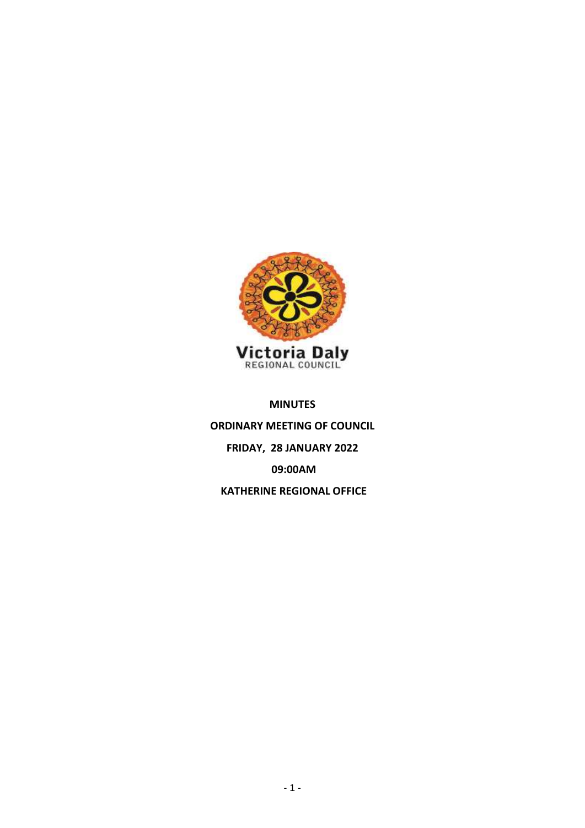

## **MINUTES**

**ORDINARY MEETING OF COUNCIL FRIDAY, 28 JANUARY 2022 09:00AM KATHERINE REGIONAL OFFICE**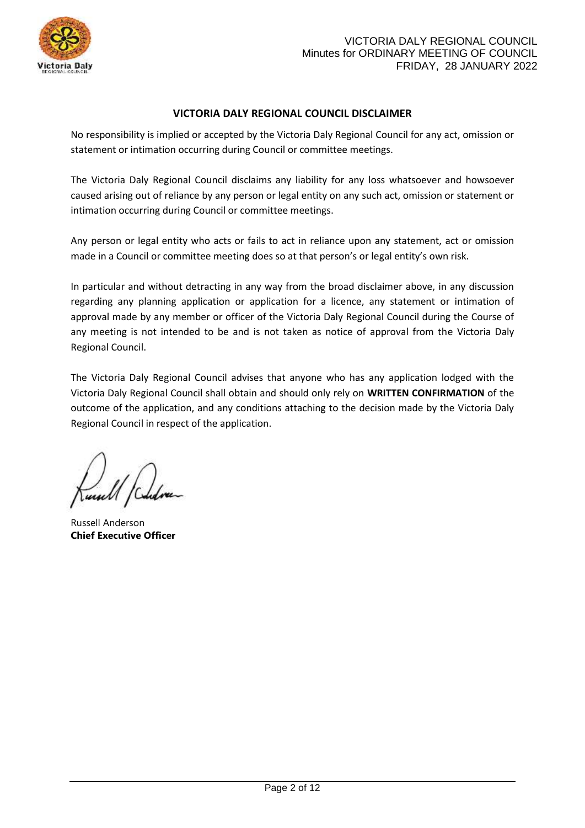

## **VICTORIA DALY REGIONAL COUNCIL DISCLAIMER**

No responsibility is implied or accepted by the Victoria Daly Regional Council for any act, omission or statement or intimation occurring during Council or committee meetings.

The Victoria Daly Regional Council disclaims any liability for any loss whatsoever and howsoever caused arising out of reliance by any person or legal entity on any such act, omission or statement or intimation occurring during Council or committee meetings.

Any person or legal entity who acts or fails to act in reliance upon any statement, act or omission made in a Council or committee meeting does so at that person's or legal entity's own risk.

In particular and without detracting in any way from the broad disclaimer above, in any discussion regarding any planning application or application for a licence, any statement or intimation of approval made by any member or officer of the Victoria Daly Regional Council during the Course of any meeting is not intended to be and is not taken as notice of approval from the Victoria Daly Regional Council.

The Victoria Daly Regional Council advises that anyone who has any application lodged with the Victoria Daly Regional Council shall obtain and should only rely on **WRITTEN CONFIRMATION** of the outcome of the application, and any conditions attaching to the decision made by the Victoria Daly Regional Council in respect of the application.

Russell Anderson **Chief Executive Officer**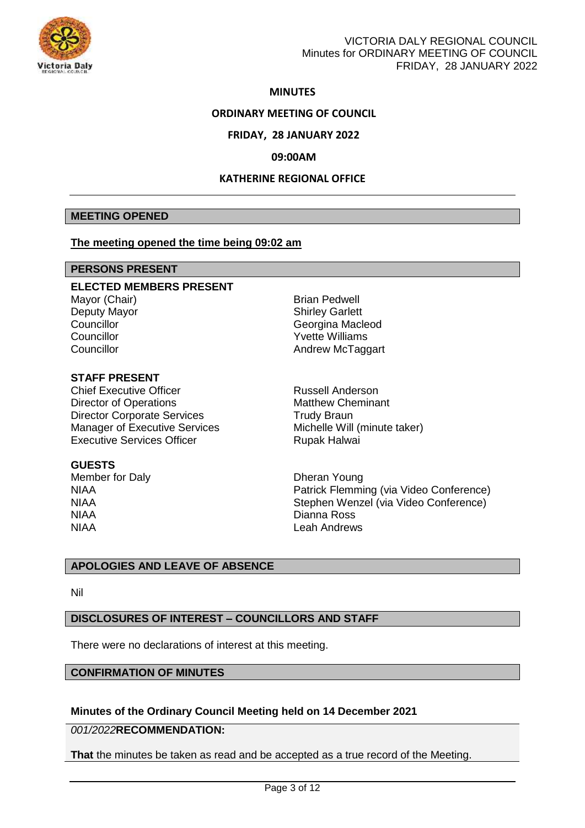

### **MINUTES**

### **ORDINARY MEETING OF COUNCIL**

### **FRIDAY, 28 JANUARY 2022**

### **09:00AM**

## **KATHERINE REGIONAL OFFICE**

### **MEETING OPENED**

### **The meeting opened the time being 09:02 am**

## **PERSONS PRESENT**

### **ELECTED MEMBERS PRESENT**

Mayor (Chair) **Brian Pedwell** Deputy Mayor Shirley Garlett Councillor **Councillor** Councillor Councillor **Councillor** Councillor Councillor **Councillor** Councillor

## **STAFF PRESENT**

Chief Executive Officer **Russell Anderson** Director of Operations **Matthew Cheminant Director Corporate Services** Trudy Braun Manager of Executive Services Michelle Will (minute taker) Executive Services Officer **Rupak Halwai** 

### **GUESTS**

Member for Daly **Dheran Young** NIAA Dianna Ross NIAA Leah Andrews

NIAA Patrick Flemming (via Video Conference) NIAA Stephen Wenzel (via Video Conference)

## **APOLOGIES AND LEAVE OF ABSENCE**

Nil

### **DISCLOSURES OF INTEREST – COUNCILLORS AND STAFF**

There were no declarations of interest at this meeting.

## **CONFIRMATION OF MINUTES**

## **Minutes of the Ordinary Council Meeting held on 14 December 2021**

*001/2022***RECOMMENDATION:**

**That** the minutes be taken as read and be accepted as a true record of the Meeting.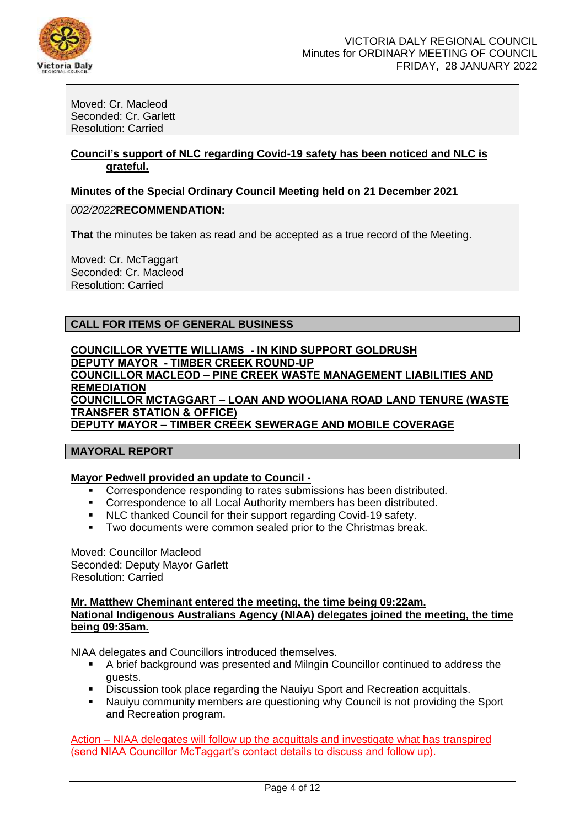

Moved: Cr. Macleod Seconded: Cr. Garlett Resolution: Carried

### **Council's support of NLC regarding Covid-19 safety has been noticed and NLC is grateful.**

### **Minutes of the Special Ordinary Council Meeting held on 21 December 2021**

## *002/2022***RECOMMENDATION:**

**That** the minutes be taken as read and be accepted as a true record of the Meeting.

Moved: Cr. McTaggart Seconded: Cr. Macleod Resolution: Carried

## **CALL FOR ITEMS OF GENERAL BUSINESS**

**COUNCILLOR YVETTE WILLIAMS - IN KIND SUPPORT GOLDRUSH DEPUTY MAYOR - TIMBER CREEK ROUND-UP COUNCILLOR MACLEOD – PINE CREEK WASTE MANAGEMENT LIABILITIES AND REMEDIATION COUNCILLOR MCTAGGART – LOAN AND WOOLIANA ROAD LAND TENURE (WASTE TRANSFER STATION & OFFICE) DEPUTY MAYOR – TIMBER CREEK SEWERAGE AND MOBILE COVERAGE** 

### **MAYORAL REPORT**

### **Mayor Pedwell provided an update to Council -**

- Correspondence responding to rates submissions has been distributed.
- Correspondence to all Local Authority members has been distributed.
- NLC thanked Council for their support regarding Covid-19 safety.
- **Two documents were common sealed prior to the Christmas break.**

Moved: Councillor Macleod Seconded: Deputy Mayor Garlett Resolution: Carried

**Mr. Matthew Cheminant entered the meeting, the time being 09:22am. National Indigenous Australians Agency (NIAA) delegates joined the meeting, the time being 09:35am.** 

NIAA delegates and Councillors introduced themselves.

- A brief background was presented and Milngin Councillor continued to address the guests.
- Discussion took place regarding the Nauiyu Sport and Recreation acquittals.
- Nauiyu community members are questioning why Council is not providing the Sport and Recreation program.

Action – NIAA delegates will follow up the acquittals and investigate what has transpired (send NIAA Councillor McTaggart's contact details to discuss and follow up).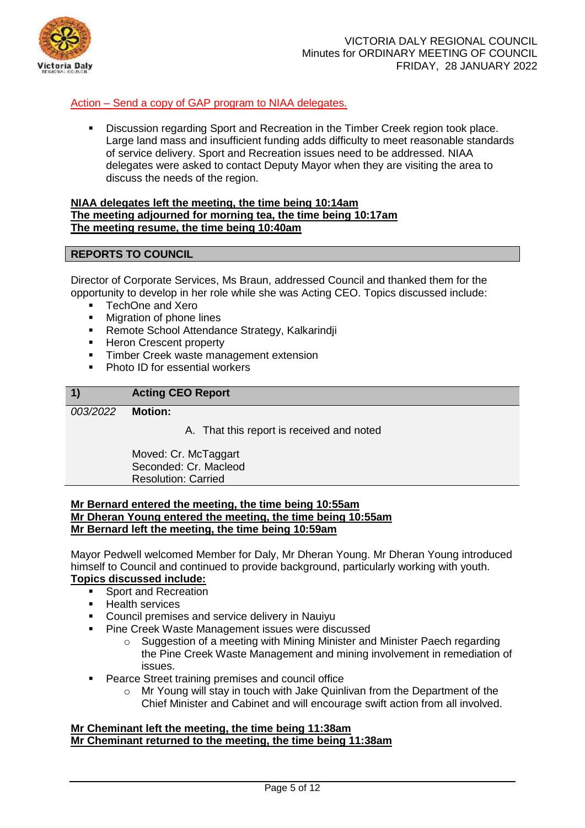

## Action – Send a copy of GAP program to NIAA delegates.

 Discussion regarding Sport and Recreation in the Timber Creek region took place. Large land mass and insufficient funding adds difficulty to meet reasonable standards of service delivery. Sport and Recreation issues need to be addressed. NIAA delegates were asked to contact Deputy Mayor when they are visiting the area to discuss the needs of the region.

### **NIAA delegates left the meeting, the time being 10:14am The meeting adjourned for morning tea, the time being 10:17am The meeting resume, the time being 10:40am**

## **REPORTS TO COUNCIL**

Director of Corporate Services, Ms Braun, addressed Council and thanked them for the opportunity to develop in her role while she was Acting CEO. Topics discussed include:

- TechOne and Xero
- Migration of phone lines
- **Remote School Attendance Strategy, Kalkarindji**
- **Heron Crescent property**
- **Timber Creek waste management extension**
- Photo ID for essential workers

# **1) Acting CEO Report** *003/2022* **Motion:**

A. That this report is received and noted

Moved: Cr. McTaggart Seconded: Cr. Macleod Resolution: Carried

### **Mr Bernard entered the meeting, the time being 10:55am Mr Dheran Young entered the meeting, the time being 10:55am Mr Bernard left the meeting, the time being 10:59am**

Mayor Pedwell welcomed Member for Daly, Mr Dheran Young. Mr Dheran Young introduced himself to Council and continued to provide background, particularly working with youth.

# **Topics discussed include:**

- Sport and Recreation
- **Health services**
- Council premises and service delivery in Nauiyu
- **Pine Creek Waste Management issues were discussed** 
	- o Suggestion of a meeting with Mining Minister and Minister Paech regarding the Pine Creek Waste Management and mining involvement in remediation of issues.
- Pearce Street training premises and council office
	- o Mr Young will stay in touch with Jake Quinlivan from the Department of the Chief Minister and Cabinet and will encourage swift action from all involved.

## **Mr Cheminant left the meeting, the time being 11:38am Mr Cheminant returned to the meeting, the time being 11:38am**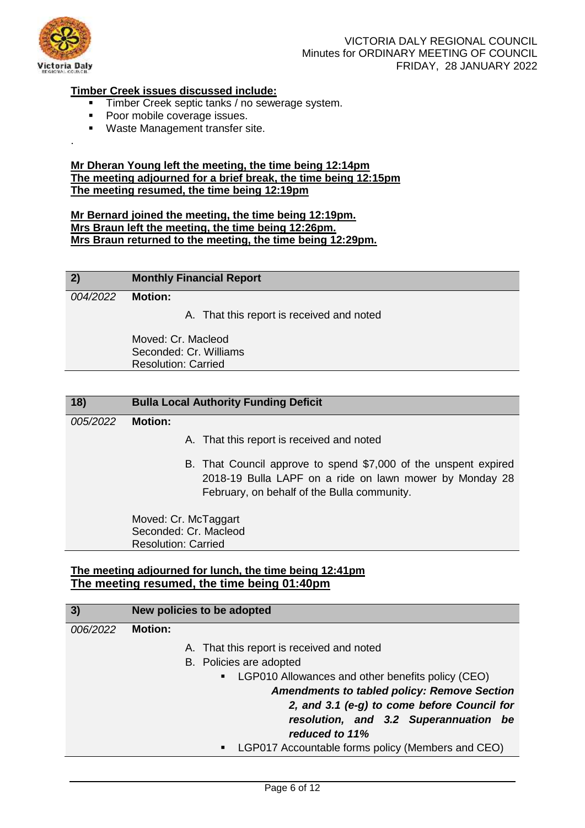

.

## VICTORIA DALY REGIONAL COUNCIL Minutes for ORDINARY MEETING OF COUNCIL FRIDAY, 28 JANUARY 2022

## **Timber Creek issues discussed include:**

- Timber Creek septic tanks / no sewerage system.<br>Poor mobile coverage issues
- Poor mobile coverage issues.
- **Waste Management transfer site.**

### **Mr Dheran Young left the meeting, the time being 12:14pm The meeting adjourned for a brief break, the time being 12:15pm The meeting resumed, the time being 12:19pm**

**Mr Bernard joined the meeting, the time being 12:19pm. Mrs Braun left the meeting, the time being 12:26pm. Mrs Braun returned to the meeting, the time being 12:29pm.** 

| 2)       |         | <b>Monthly Financial Report</b>           |
|----------|---------|-------------------------------------------|
| 004/2022 | Motion: |                                           |
|          |         | A. That this report is received and noted |

Moved: Cr. Macleod Seconded: Cr. Williams Resolution: Carried

| 18)      | <b>Bulla Local Authority Funding Deficit</b>                                                                                                                              |
|----------|---------------------------------------------------------------------------------------------------------------------------------------------------------------------------|
| 005/2022 | <b>Motion:</b>                                                                                                                                                            |
|          | A. That this report is received and noted                                                                                                                                 |
|          | B. That Council approve to spend \$7,000 of the unspent expired<br>2018-19 Bulla LAPF on a ride on lawn mower by Monday 28<br>February, on behalf of the Bulla community. |
|          | Moved: Cr. McTaggart<br>Seconded: Cr. Macleod<br><b>Resolution: Carried</b>                                                                                               |
|          |                                                                                                                                                                           |

## **The meeting adjourned for lunch, the time being 12:41pm The meeting resumed, the time being 01:40pm**

| 3)       | New policies to be adopted                                            |
|----------|-----------------------------------------------------------------------|
| 006/2022 | <b>Motion:</b>                                                        |
|          | A. That this report is received and noted                             |
|          | B. Policies are adopted                                               |
|          | LGP010 Allowances and other benefits policy (CEO)<br>$\blacksquare$ . |
|          | <b>Amendments to tabled policy: Remove Section</b>                    |
|          | 2, and 3.1 (e-g) to come before Council for                           |
|          | resolution, and 3.2 Superannuation be                                 |
|          | reduced to 11%                                                        |
|          | LGP017 Accountable forms policy (Members and CEO)<br>$\blacksquare$   |
|          |                                                                       |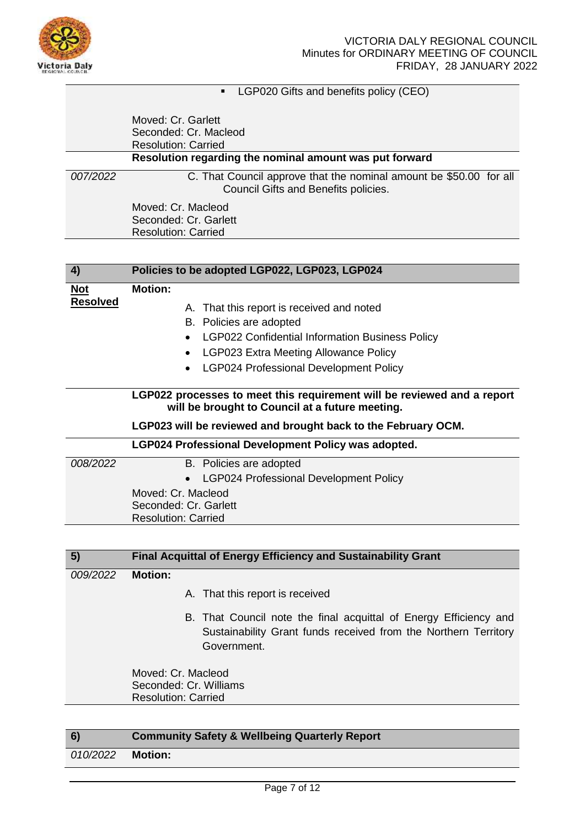

**LGP020 Gifts and benefits policy (CEO)** 

|          | Moved: Cr. Garlett<br>Seconded: Cr. Macleod<br><b>Resolution: Carried</b>                                  |
|----------|------------------------------------------------------------------------------------------------------------|
|          | Resolution regarding the nominal amount was put forward                                                    |
| 007/2022 | C. That Council approve that the nominal amount be \$50.00 for all<br>Council Gifts and Benefits policies. |
|          | Moved: Cr. Macleod                                                                                         |
|          | Seconded: Cr. Garlett                                                                                      |
|          | <b>Resolution: Carried</b>                                                                                 |

| 4)                            | Policies to be adopted LGP022, LGP023, LGP024                                                                                                                                                                                                 |
|-------------------------------|-----------------------------------------------------------------------------------------------------------------------------------------------------------------------------------------------------------------------------------------------|
| <b>Not</b><br><b>Resolved</b> | <b>Motion:</b><br>That this report is received and noted<br>Α.<br>B. Policies are adopted<br>LGP022 Confidential Information Business Policy<br><b>LGP023 Extra Meeting Allowance Policy</b><br><b>LGP024 Professional Development Policy</b> |
|                               | LGP022 processes to meet this requirement will be reviewed and a report<br>will be brought to Council at a future meeting.<br>LGP023 will be reviewed and brought back to the February OCM.                                                   |
|                               | LGP024 Professional Development Policy was adopted.                                                                                                                                                                                           |
| 008/2022                      | B. Policies are adopted<br><b>LGP024 Professional Development Policy</b><br>Moved: Cr. Macleod<br>Seconded: Cr. Garlett<br><b>Resolution: Carried</b>                                                                                         |

| 5)       | <b>Final Acquittal of Energy Efficiency and Sustainability Grant</b>                                                                                |
|----------|-----------------------------------------------------------------------------------------------------------------------------------------------------|
| 009/2022 | <b>Motion:</b>                                                                                                                                      |
|          | A. That this report is received                                                                                                                     |
|          | B. That Council note the final acquittal of Energy Efficiency and<br>Sustainability Grant funds received from the Northern Territory<br>Government. |
|          | Moved: Cr. Macleod<br>Seconded: Cr. Williams<br><b>Resolution: Carried</b>                                                                          |
|          |                                                                                                                                                     |

| 6)       | <b>Community Safety &amp; Wellbeing Quarterly Report</b> |
|----------|----------------------------------------------------------|
| 010/2022 | Motion:                                                  |
|          |                                                          |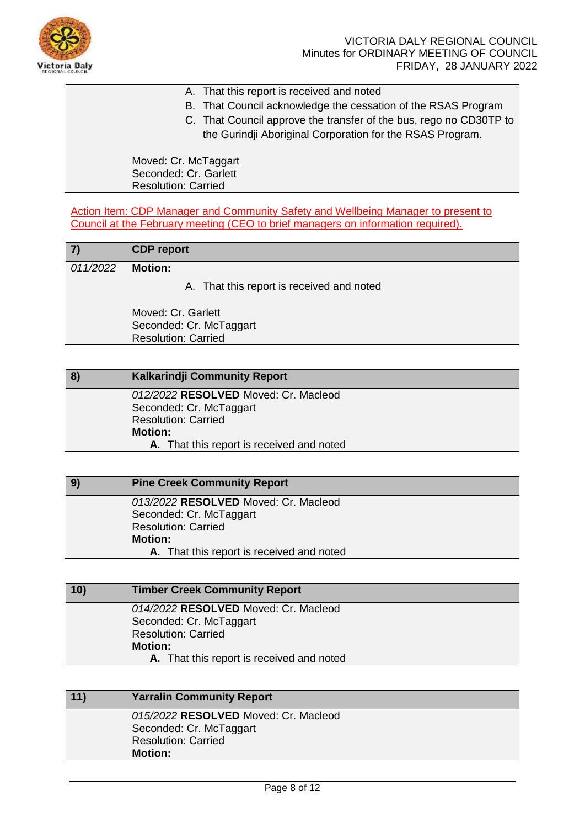

- A. That this report is received and noted
- B. That Council acknowledge the cessation of the RSAS Program
- C. That Council approve the transfer of the bus, rego no CD30TP to
	- the Gurindji Aboriginal Corporation for the RSAS Program.

Moved: Cr. McTaggart Seconded: Cr. Garlett Resolution: Carried

Action Item: CDP Manager and Community Safety and Wellbeing Manager to present to Council at the February meeting (CEO to brief managers on information required).

| 7)       | <b>CDP</b> report                         |
|----------|-------------------------------------------|
| 011/2022 | <b>Motion:</b>                            |
|          | A. That this report is received and noted |
|          | Moved: Cr. Garlett                        |
|          | Seconded: Cr. McTaggart                   |
|          | <b>Resolution: Carried</b>                |
|          |                                           |
| 8)       | Kalkarindji Community Report              |
|          | 012/2022 RESOLVED Moved: Cr. Macleod      |
|          | Seconded: Cr. McTaggart                   |
|          | <b>Resolution: Carried</b>                |
|          | <b>Motion:</b>                            |
|          | A. That this report is received and noted |

| -9) | <b>Pine Creek Community Report</b>        |
|-----|-------------------------------------------|
|     | 013/2022 RESOLVED Moved: Cr. Macleod      |
|     | Seconded: Cr. McTaggart                   |
|     | <b>Resolution: Carried</b>                |
|     | <b>Motion:</b>                            |
|     | A. That this report is received and noted |

| 10) | <b>Timber Creek Community Report</b>      |  |
|-----|-------------------------------------------|--|
|     | 014/2022 RESOLVED Moved: Cr. Macleod      |  |
|     | Seconded: Cr. McTaggart                   |  |
|     | <b>Resolution: Carried</b>                |  |
|     | <b>Motion:</b>                            |  |
|     | A. That this report is received and noted |  |
|     |                                           |  |

# **11) Yarralin Community Report** *015/2022* **RESOLVED** Moved: Cr. Macleod Seconded: Cr. McTaggart Resolution: Carried **Motion:**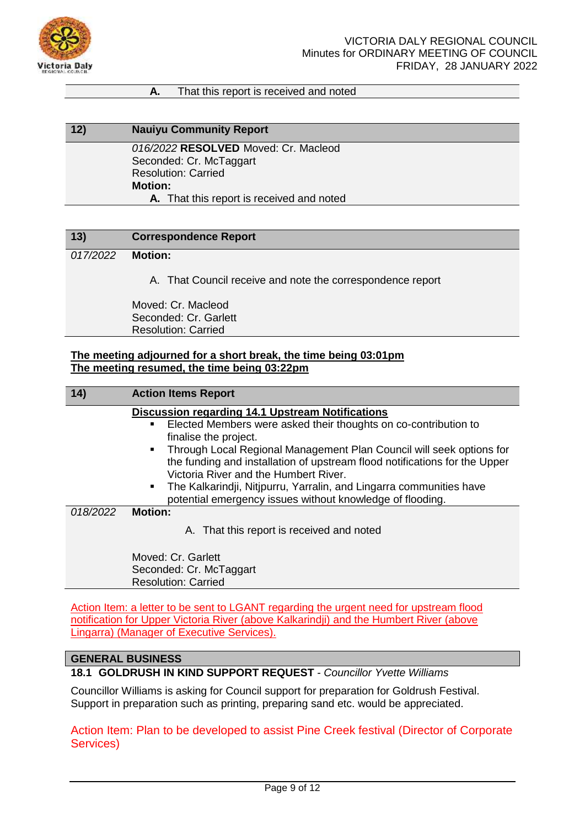

### **A.** That this report is received and noted

# **12) Nauiyu Community Report**

*016/2022* **RESOLVED** Moved: Cr. Macleod Seconded: Cr. McTaggart Resolution: Carried **Motion: A.** That this report is received and noted

## **13) Correspondence Report**

## *017/2022* **Motion:**

A. That Council receive and note the correspondence report

Moved: Cr. Macleod Seconded: Cr. Garlett Resolution: Carried

### **The meeting adjourned for a short break, the time being 03:01pm The meeting resumed, the time being 03:22pm**

| 14)      | <b>Action Items Report</b>                                                             |
|----------|----------------------------------------------------------------------------------------|
|          | <b>Discussion regarding 14.1 Upstream Notifications</b>                                |
|          | Elected Members were asked their thoughts on co-contribution to<br>٠                   |
|          | finalise the project.                                                                  |
|          | Through Local Regional Management Plan Council will seek options for<br>$\blacksquare$ |
|          | the funding and installation of upstream flood notifications for the Upper             |
|          | Victoria River and the Humbert River.                                                  |
|          | The Kalkarindji, Nitjpurru, Yarralin, and Lingarra communities have                    |
|          | potential emergency issues without knowledge of flooding.                              |
| 018/2022 | <b>Motion:</b>                                                                         |
|          | A. That this report is received and noted                                              |
|          | Moved: Cr. Garlett                                                                     |
|          | Seconded: Cr. McTaggart                                                                |
|          | <b>Resolution: Carried</b>                                                             |

Action Item: a letter to be sent to LGANT regarding the urgent need for upstream flood notification for Upper Victoria River (above Kalkarindji) and the Humbert River (above Lingarra) (Manager of Executive Services).

### **GENERAL BUSINESS**

**18.1 GOLDRUSH IN KIND SUPPORT REQUEST** *- Councillor Yvette Williams*

Councillor Williams is asking for Council support for preparation for Goldrush Festival. Support in preparation such as printing, preparing sand etc. would be appreciated.

Action Item: Plan to be developed to assist Pine Creek festival (Director of Corporate Services)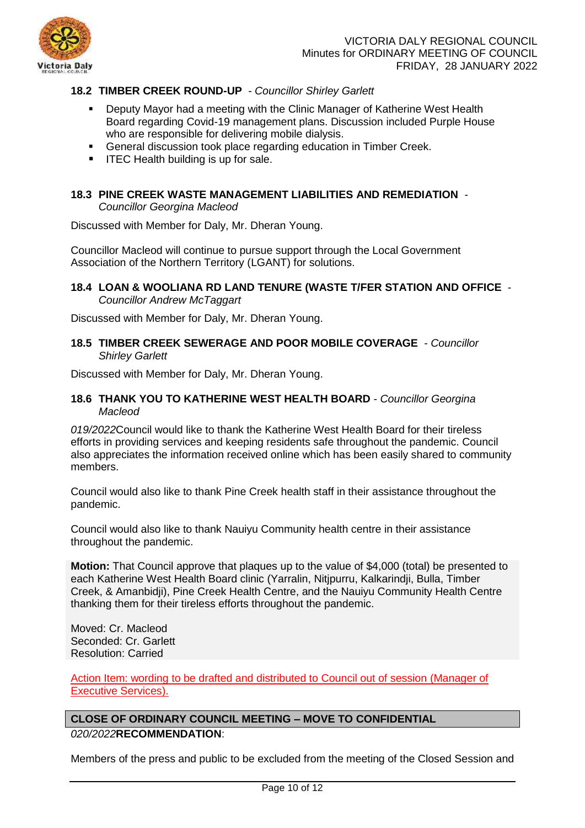

## **18.2 TIMBER CREEK ROUND-UP** *- Councillor Shirley Garlett*

- Deputy Mayor had a meeting with the Clinic Manager of Katherine West Health Board regarding Covid-19 management plans. Discussion included Purple House who are responsible for delivering mobile dialysis.
- General discussion took place regarding education in Timber Creek.
- $\blacksquare$  ITEC Health building is up for sale.

## **18.3 PINE CREEK WASTE MANAGEMENT LIABILITIES AND REMEDIATION** *-*

*Councillor Georgina Macleod*

Discussed with Member for Daly, Mr. Dheran Young.

Councillor Macleod will continue to pursue support through the Local Government Association of the Northern Territory (LGANT) for solutions.

**18.4 LOAN & WOOLIANA RD LAND TENURE (WASTE T/FER STATION AND OFFICE** *- Councillor Andrew McTaggart*

Discussed with Member for Daly, Mr. Dheran Young.

**18.5 TIMBER CREEK SEWERAGE AND POOR MOBILE COVERAGE** *- Councillor Shirley Garlett*

Discussed with Member for Daly, Mr. Dheran Young.

### **18.6 THANK YOU TO KATHERINE WEST HEALTH BOARD** *- Councillor Georgina Macleod*

*019/2022*Council would like to thank the Katherine West Health Board for their tireless efforts in providing services and keeping residents safe throughout the pandemic. Council also appreciates the information received online which has been easily shared to community members.

Council would also like to thank Pine Creek health staff in their assistance throughout the pandemic.

Council would also like to thank Nauiyu Community health centre in their assistance throughout the pandemic.

**Motion:** That Council approve that plaques up to the value of \$4,000 (total) be presented to each Katherine West Health Board clinic (Yarralin, Nitipurru, Kalkarindii, Bulla, Timber Creek, & Amanbidji), Pine Creek Health Centre, and the Nauiyu Community Health Centre thanking them for their tireless efforts throughout the pandemic.

Moved: Cr. Macleod Seconded: Cr. Garlett Resolution: Carried

Action Item: wording to be drafted and distributed to Council out of session (Manager of Executive Services).

## **CLOSE OF ORDINARY COUNCIL MEETING – MOVE TO CONFIDENTIAL** *020/2022***RECOMMENDATION**:

Members of the press and public to be excluded from the meeting of the Closed Session and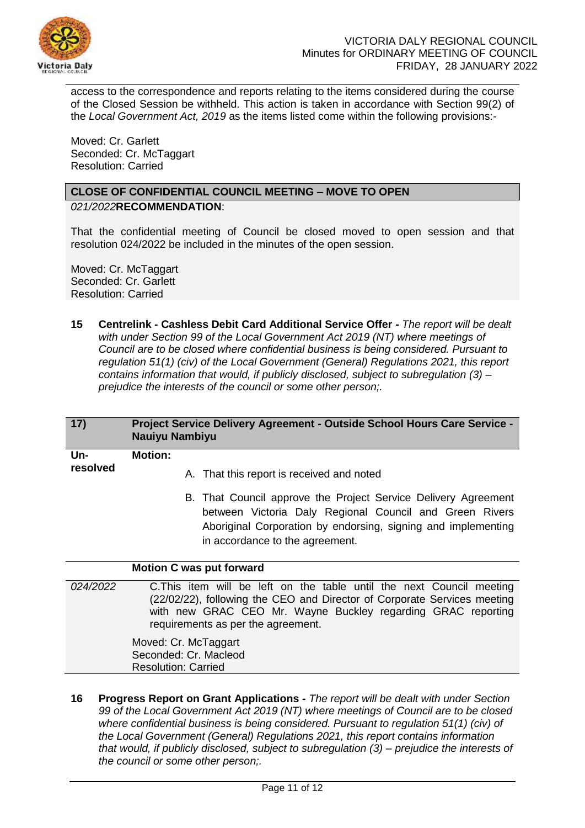

access to the correspondence and reports relating to the items considered during the course of the Closed Session be withheld. This action is taken in accordance with Section 99(2) of the *Local Government Act, 2019* as the items listed come within the following provisions:-

Moved: Cr. Garlett Seconded: Cr. McTaggart Resolution: Carried

## **CLOSE OF CONFIDENTIAL COUNCIL MEETING – MOVE TO OPEN** *021/2022***RECOMMENDATION**:

That the confidential meeting of Council be closed moved to open session and that resolution 024/2022 be included in the minutes of the open session.

Moved: Cr. McTaggart Seconded: Cr. Garlett Resolution: Carried

**15 Centrelink - Cashless Debit Card Additional Service Offer -** *The report will be dealt with under Section 99 of the Local Government Act 2019 (NT) where meetings of Council are to be closed where confidential business is being considered. Pursuant to regulation 51(1) (civ) of the Local Government (General) Regulations 2021, this report contains information that would, if publicly disclosed, subject to subregulation (3) – prejudice the interests of the council or some other person;.*

| 17)             | Project Service Delivery Agreement - Outside School Hours Care Service -<br><b>Nauiyu Nambiyu</b>                                                                                                                                                       |
|-----------------|---------------------------------------------------------------------------------------------------------------------------------------------------------------------------------------------------------------------------------------------------------|
| Un-<br>resolved | Motion:<br>A. That this report is received and noted                                                                                                                                                                                                    |
|                 | B. That Council approve the Project Service Delivery Agreement<br>between Victoria Daly Regional Council and Green Rivers<br>Aboriginal Corporation by endorsing, signing and implementing<br>in accordance to the agreement.                           |
|                 | <b>Motion C was put forward</b>                                                                                                                                                                                                                         |
| 024/2022        | C. This item will be left on the table until the next Council meeting<br>(22/02/22), following the CEO and Director of Corporate Services meeting<br>with new GRAC CEO Mr. Wayne Buckley regarding GRAC reporting<br>requirements as per the agreement. |

Moved: Cr. McTaggart Seconded: Cr. Macleod Resolution: Carried

**16 Progress Report on Grant Applications -** *The report will be dealt with under Section 99 of the Local Government Act 2019 (NT) where meetings of Council are to be closed where confidential business is being considered. Pursuant to regulation 51(1) (civ) of the Local Government (General) Regulations 2021, this report contains information that would, if publicly disclosed, subject to subregulation (3) – prejudice the interests of the council or some other person;.*